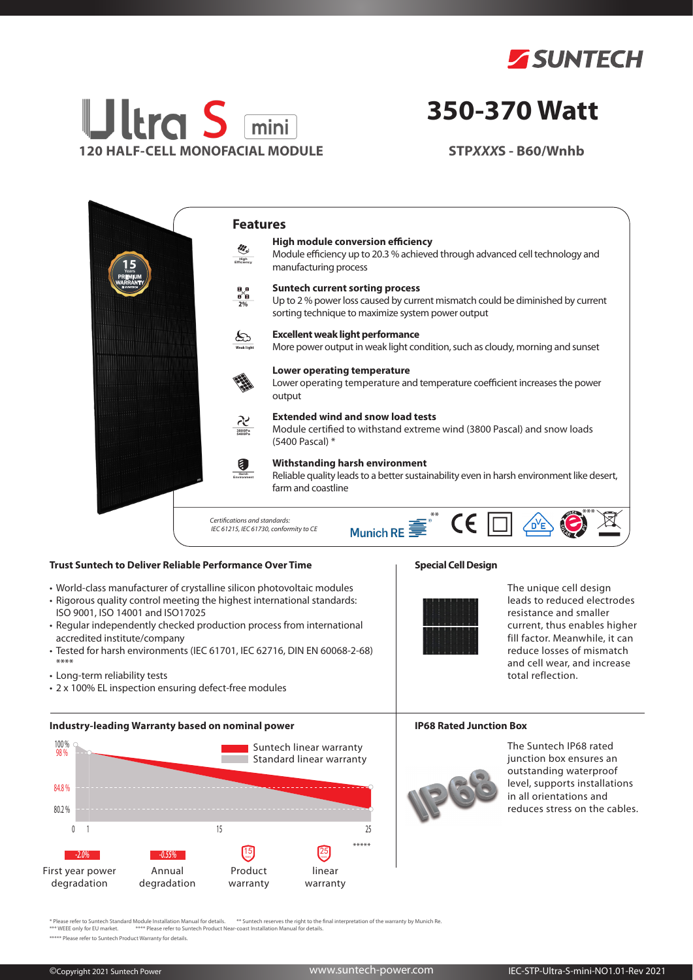

# **ltra S 120 HALF-CELL MONOFACIAL MODULE**

## **350-370 Watt**

**STP***XXX***S - B60/Wnhb**



### **Trust Suntech to Deliver Reliable Performance Over Time**

- World-class manufacturer of crystalline silicon photovoltaic modules
- Rigorous quality control meeting the highest international standards: ISO 9001, ISO 14001 and ISO17025
- Regular independently checked production process from international accredited institute/company
- Tested for harsh environments (IEC 61701, IEC 62716, DIN EN 60068-2-68) \*\*\*\*
- Long-term reliability tests
- 2 x 100% EL inspection ensuring defect-free modules



The unique cell design leads to reduced electrodes resistance and smaller current, thus enables higher fill factor. Meanwhile, it can reduce losses of mismatch and cell wear, and increase total reflection.

### **Industry-leading Warranty based on nominal power IP68 Rated Junction Box**





The Suntech IP68 rated junction box ensures an outstanding waterproof level, supports installations in all orientations and reduces stress on the cables.

\* Please refer to Suntech Standard Module Installation Manual for details. \*\* Suntech reserves the right to the final interpretation of the warranty by Munich Re.<br>\*\*\* WEEE only for EU market. \*\*\*\* Please refer to Suntech P

\*\*\*\*\* Please refer to Suntech Product Warranty for details.